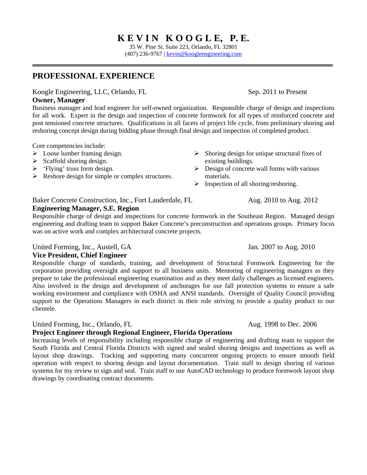# **K E V I N K O O G L E, P. E.**

35 W. Pine St. Suite 223, Orlando, FL 32801 (407) 236-9767 | kevin@koogleengineering.com

### **PROFESSIONAL EXPERIENCE**

Koogle Engineering, LLC, Orlando, FL Sep. 2011 to Present

**Owner, Manager**  Business manager and lead engineer for self-owned organization. Responsible charge of design and inspections for all work. Expert in the design and inspection of concrete formwork for all types of reinforced concrete and post tensioned concrete structures. Qualifications in all facets of project life cycle, from preliminary shoring and reshoring concept design during bidding phase through final design and inspection of completed product.

Core competencies include:

- $\triangleright$  Loose lumber framing design.
- $\triangleright$  Scaffold shoring design.
- $\triangleright$  'Flying' truss form design.
- $\triangleright$  Reshore design for simple or complex structures.
- $\triangleright$  Shoring design for unique structural fixes of existing buildings.
- $\triangleright$  Design of concrete wall forms with various materials.
- $\triangleright$  Inspection of all shoring/reshoring.

#### Baker Concrete Construction, Inc., Fort Lauderdale, FL Aug. 2010 to Aug. 2012

#### **Engineering Manager, S.E. Region**

Responsible charge of design and inspections for concrete formwork in the Southeast Region. Managed design engineering and drafting team to support Baker Concrete's preconstruction and operations groups. Primary focus was on active work and complex architectural concrete projects.

#### United Forming, Inc., Austell, GA Jan. 2007 to Aug. 2010

**Vice President, Chief Engineer** 

Responsible charge of standards, training, and development of Structural Formwork Engineering for the corporation providing oversight and support to all business units. Mentoring of engineering managers as they prepare to take the professional engineering examination and as they meet daily challenges as licensed engineers. Also involved in the design and development of anchorages for our fall protection systems to ensure a safe working environment and compliance with OSHA and ANSI standards. Oversight of Quality Council providing support to the Operations Managers in each district in their role striving to provide a quality product to our clientele.

United Forming, Inc., Orlando, FL Aug. 1998 to Dec. 2006

#### **Project Engineer through Regional Engineer, Florida Operations**

Increasing levels of responsibility including responsible charge of engineering and drafting team to support the South Florida and Central Florida Districts with signed and sealed shoring designs and inspections as well as layout shop drawings. Tracking and supporting many concurrent ongoing projects to ensure smooth field operation with respect to shoring design and layout documentation. Train staff to design shoring of various systems for my review to sign and seal. Train staff to use AutoCAD technology to produce formwork layout shop drawings by coordinating contract documents.